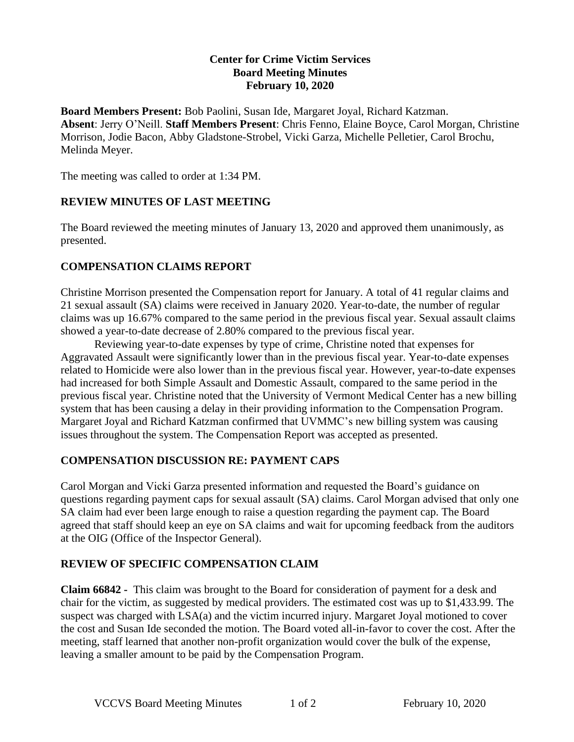### **Center for Crime Victim Services Board Meeting Minutes February 10, 2020**

**Board Members Present:** Bob Paolini, Susan Ide, Margaret Joyal, Richard Katzman. **Absent**: Jerry O'Neill. **Staff Members Present**: Chris Fenno, Elaine Boyce, Carol Morgan, Christine Morrison, Jodie Bacon, Abby Gladstone-Strobel, Vicki Garza, Michelle Pelletier, Carol Brochu, Melinda Meyer.

The meeting was called to order at 1:34 PM.

# **REVIEW MINUTES OF LAST MEETING**

The Board reviewed the meeting minutes of January 13, 2020 and approved them unanimously, as presented.

# **COMPENSATION CLAIMS REPORT**

Christine Morrison presented the Compensation report for January. A total of 41 regular claims and 21 sexual assault (SA) claims were received in January 2020. Year-to-date, the number of regular claims was up 16.67% compared to the same period in the previous fiscal year. Sexual assault claims showed a year-to-date decrease of 2.80% compared to the previous fiscal year.

Reviewing year-to-date expenses by type of crime, Christine noted that expenses for Aggravated Assault were significantly lower than in the previous fiscal year. Year-to-date expenses related to Homicide were also lower than in the previous fiscal year. However, year-to-date expenses had increased for both Simple Assault and Domestic Assault, compared to the same period in the previous fiscal year. Christine noted that the University of Vermont Medical Center has a new billing system that has been causing a delay in their providing information to the Compensation Program. Margaret Joyal and Richard Katzman confirmed that UVMMC's new billing system was causing issues throughout the system. The Compensation Report was accepted as presented.

# **COMPENSATION DISCUSSION RE: PAYMENT CAPS**

Carol Morgan and Vicki Garza presented information and requested the Board's guidance on questions regarding payment caps for sexual assault (SA) claims. Carol Morgan advised that only one SA claim had ever been large enough to raise a question regarding the payment cap. The Board agreed that staff should keep an eye on SA claims and wait for upcoming feedback from the auditors at the OIG (Office of the Inspector General).

# **REVIEW OF SPECIFIC COMPENSATION CLAIM**

**Claim 66842 -** This claim was brought to the Board for consideration of payment for a desk and chair for the victim, as suggested by medical providers. The estimated cost was up to \$1,433.99. The suspect was charged with LSA(a) and the victim incurred injury. Margaret Joyal motioned to cover the cost and Susan Ide seconded the motion. The Board voted all-in-favor to cover the cost. After the meeting, staff learned that another non-profit organization would cover the bulk of the expense, leaving a smaller amount to be paid by the Compensation Program.